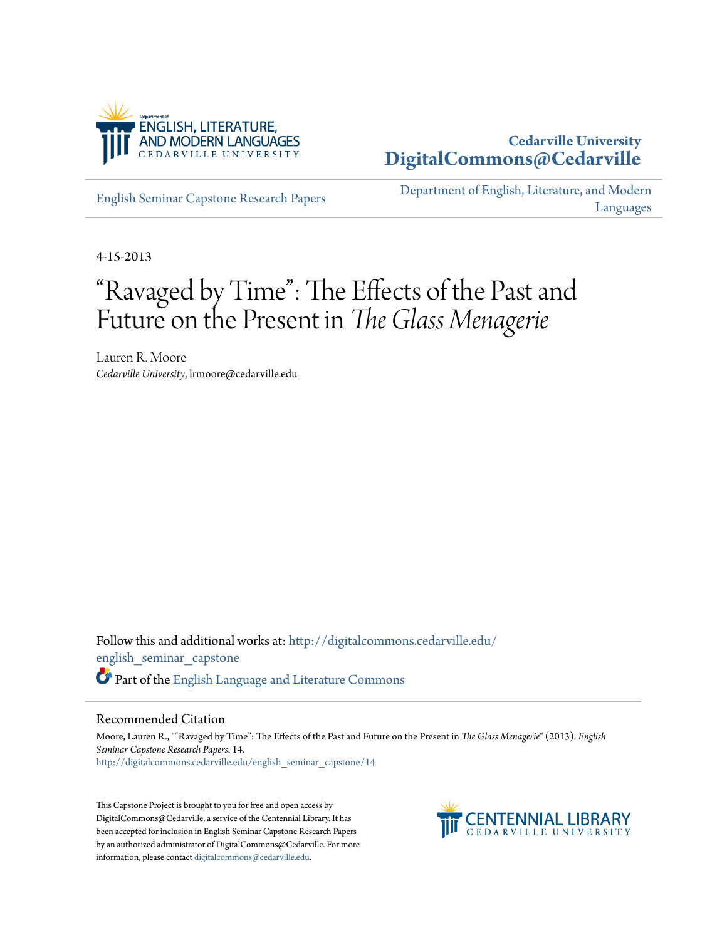

## **Cedarville University [DigitalCommons@Cedarville](http://digitalcommons.cedarville.edu?utm_source=digitalcommons.cedarville.edu%2Fenglish_seminar_capstone%2F14&utm_medium=PDF&utm_campaign=PDFCoverPages)**

[English Seminar Capstone Research Papers](http://digitalcommons.cedarville.edu/english_seminar_capstone?utm_source=digitalcommons.cedarville.edu%2Fenglish_seminar_capstone%2F14&utm_medium=PDF&utm_campaign=PDFCoverPages)

[Department of English, Literature, and Modern](http://digitalcommons.cedarville.edu/english_literature_modern_languages?utm_source=digitalcommons.cedarville.edu%2Fenglish_seminar_capstone%2F14&utm_medium=PDF&utm_campaign=PDFCoverPages) [Languages](http://digitalcommons.cedarville.edu/english_literature_modern_languages?utm_source=digitalcommons.cedarville.edu%2Fenglish_seminar_capstone%2F14&utm_medium=PDF&utm_campaign=PDFCoverPages)

4-15-2013

## "Ravaged by Time": The Effects of the Past and Future on the Present in *The Glass Menagerie*

Lauren R. Moore *Cedarville University*, lrmoore@cedarville.edu

Follow this and additional works at: [http://digitalcommons.cedarville.edu/](http://digitalcommons.cedarville.edu/english_seminar_capstone?utm_source=digitalcommons.cedarville.edu%2Fenglish_seminar_capstone%2F14&utm_medium=PDF&utm_campaign=PDFCoverPages) [english\\_seminar\\_capstone](http://digitalcommons.cedarville.edu/english_seminar_capstone?utm_source=digitalcommons.cedarville.edu%2Fenglish_seminar_capstone%2F14&utm_medium=PDF&utm_campaign=PDFCoverPages) Part of the [English Language and Literature Commons](http://network.bepress.com/hgg/discipline/455?utm_source=digitalcommons.cedarville.edu%2Fenglish_seminar_capstone%2F14&utm_medium=PDF&utm_campaign=PDFCoverPages)

## Recommended Citation

Moore, Lauren R., ""Ravaged by Time": The Effects of the Past and Future on the Present in *The Glass Menagerie*" (2013). *English Seminar Capstone Research Papers*. 14. [http://digitalcommons.cedarville.edu/english\\_seminar\\_capstone/14](http://digitalcommons.cedarville.edu/english_seminar_capstone/14?utm_source=digitalcommons.cedarville.edu%2Fenglish_seminar_capstone%2F14&utm_medium=PDF&utm_campaign=PDFCoverPages)

This Capstone Project is brought to you for free and open access by DigitalCommons@Cedarville, a service of the Centennial Library. It has been accepted for inclusion in English Seminar Capstone Research Papers by an authorized administrator of DigitalCommons@Cedarville. For more information, please contact [digitalcommons@cedarville.edu.](mailto:digitalcommons@cedarville.edu)

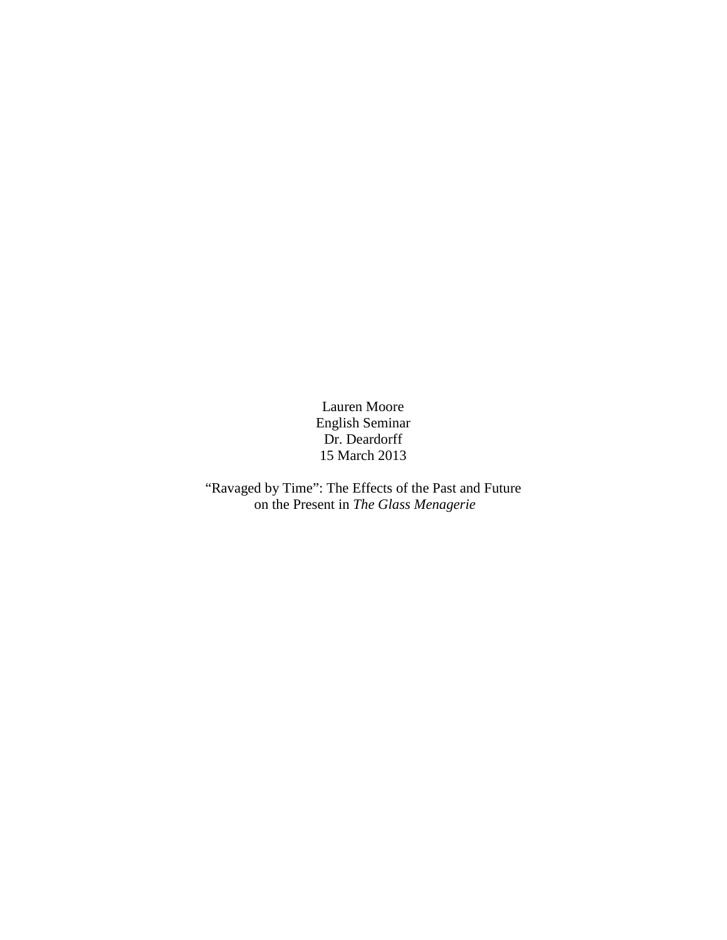Lauren Moore English Seminar Dr. Deardorff 15 March 2013

"Ravaged by Time": The Effects of the Past and Future on the Present in *The Glass Menagerie*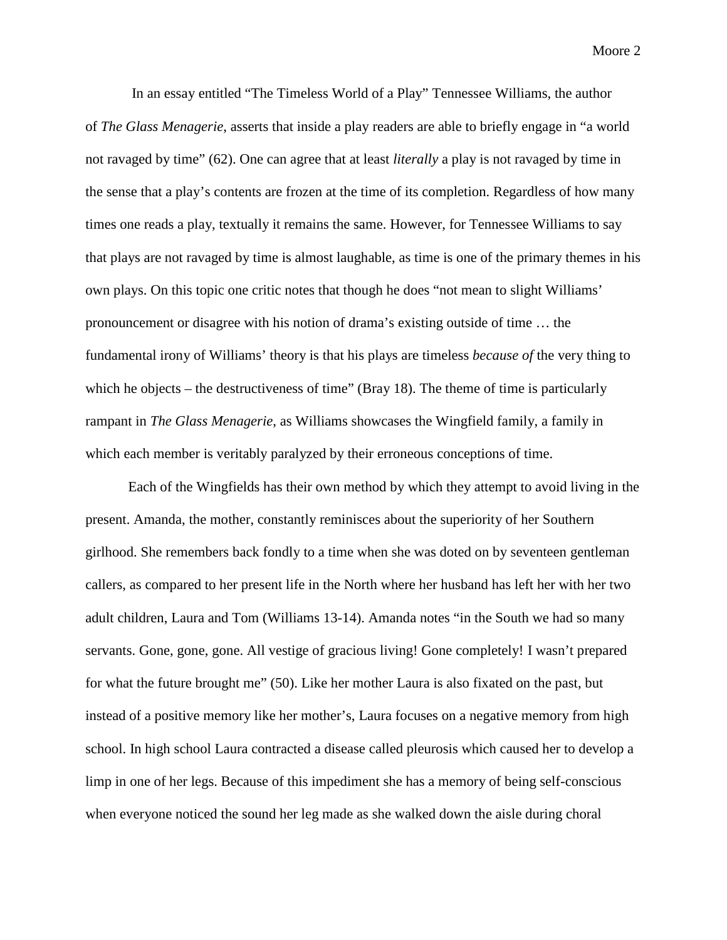In an essay entitled "The Timeless World of a Play" Tennessee Williams, the author of *The Glass Menagerie*, asserts that inside a play readers are able to briefly engage in "a world not ravaged by time" (62). One can agree that at least *literally* a play is not ravaged by time in the sense that a play's contents are frozen at the time of its completion. Regardless of how many times one reads a play, textually it remains the same. However, for Tennessee Williams to say that plays are not ravaged by time is almost laughable, as time is one of the primary themes in his own plays. On this topic one critic notes that though he does "not mean to slight Williams' pronouncement or disagree with his notion of drama's existing outside of time … the fundamental irony of Williams' theory is that his plays are timeless *because of* the very thing to which he objects – the destructiveness of time" (Bray 18). The theme of time is particularly rampant in *The Glass Menagerie*, as Williams showcases the Wingfield family, a family in which each member is veritably paralyzed by their erroneous conceptions of time.

Each of the Wingfields has their own method by which they attempt to avoid living in the present. Amanda, the mother, constantly reminisces about the superiority of her Southern girlhood. She remembers back fondly to a time when she was doted on by seventeen gentleman callers, as compared to her present life in the North where her husband has left her with her two adult children, Laura and Tom (Williams 13-14). Amanda notes "in the South we had so many servants. Gone, gone, gone. All vestige of gracious living! Gone completely! I wasn't prepared for what the future brought me" (50). Like her mother Laura is also fixated on the past, but instead of a positive memory like her mother's, Laura focuses on a negative memory from high school. In high school Laura contracted a disease called pleurosis which caused her to develop a limp in one of her legs. Because of this impediment she has a memory of being self-conscious when everyone noticed the sound her leg made as she walked down the aisle during choral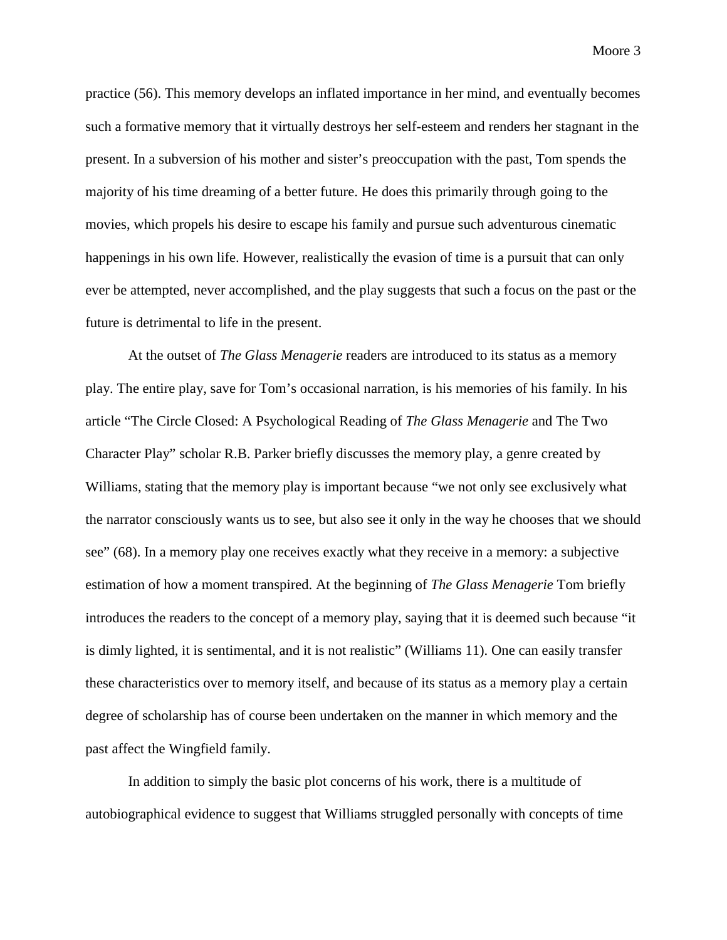practice (56). This memory develops an inflated importance in her mind, and eventually becomes such a formative memory that it virtually destroys her self-esteem and renders her stagnant in the present. In a subversion of his mother and sister's preoccupation with the past, Tom spends the majority of his time dreaming of a better future. He does this primarily through going to the movies, which propels his desire to escape his family and pursue such adventurous cinematic happenings in his own life. However, realistically the evasion of time is a pursuit that can only ever be attempted, never accomplished, and the play suggests that such a focus on the past or the future is detrimental to life in the present.

At the outset of *The Glass Menagerie* readers are introduced to its status as a memory play. The entire play, save for Tom's occasional narration, is his memories of his family. In his article "The Circle Closed: A Psychological Reading of *The Glass Menagerie* and The Two Character Play" scholar R.B. Parker briefly discusses the memory play, a genre created by Williams, stating that the memory play is important because "we not only see exclusively what the narrator consciously wants us to see, but also see it only in the way he chooses that we should see" (68). In a memory play one receives exactly what they receive in a memory: a subjective estimation of how a moment transpired. At the beginning of *The Glass Menagerie* Tom briefly introduces the readers to the concept of a memory play, saying that it is deemed such because "it is dimly lighted, it is sentimental, and it is not realistic" (Williams 11). One can easily transfer these characteristics over to memory itself, and because of its status as a memory play a certain degree of scholarship has of course been undertaken on the manner in which memory and the past affect the Wingfield family.

In addition to simply the basic plot concerns of his work, there is a multitude of autobiographical evidence to suggest that Williams struggled personally with concepts of time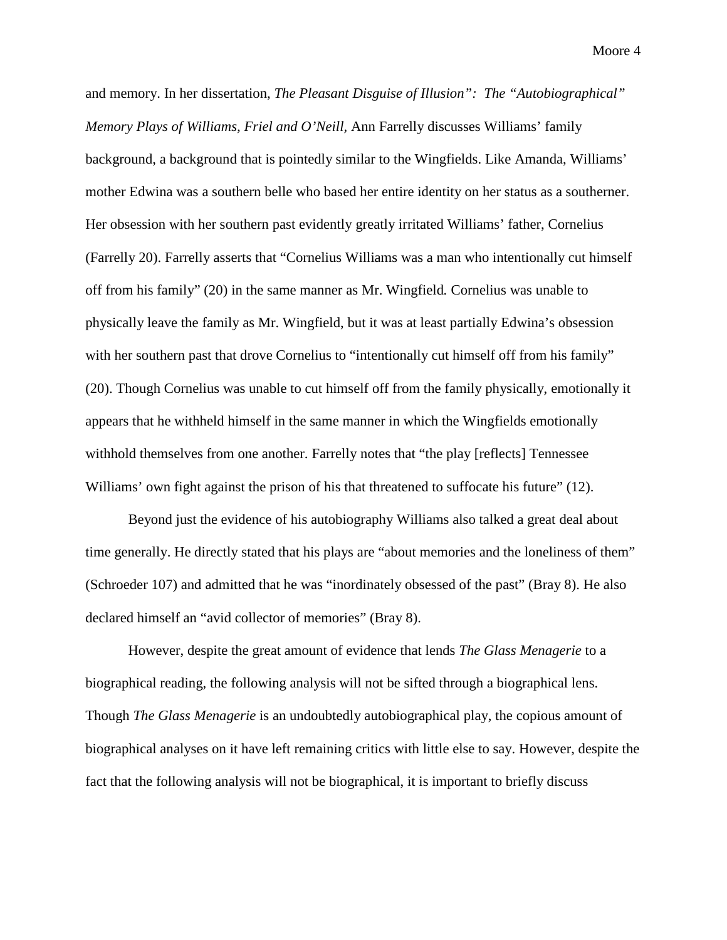and memory. In her dissertation, *The Pleasant Disguise of Illusion": The "Autobiographical" Memory Plays of Williams, Friel and O'Neill,* Ann Farrelly discusses Williams' family background, a background that is pointedly similar to the Wingfields. Like Amanda, Williams' mother Edwina was a southern belle who based her entire identity on her status as a southerner. Her obsession with her southern past evidently greatly irritated Williams' father, Cornelius (Farrelly 20). Farrelly asserts that "Cornelius Williams was a man who intentionally cut himself off from his family" (20) in the same manner as Mr. Wingfield*.* Cornelius was unable to physically leave the family as Mr. Wingfield, but it was at least partially Edwina's obsession with her southern past that drove Cornelius to "intentionally cut himself off from his family" (20). Though Cornelius was unable to cut himself off from the family physically, emotionally it appears that he withheld himself in the same manner in which the Wingfields emotionally withhold themselves from one another. Farrelly notes that "the play [reflects] Tennessee Williams' own fight against the prison of his that threatened to suffocate his future" (12).

Beyond just the evidence of his autobiography Williams also talked a great deal about time generally. He directly stated that his plays are "about memories and the loneliness of them" (Schroeder 107) and admitted that he was "inordinately obsessed of the past" (Bray 8). He also declared himself an "avid collector of memories" (Bray 8).

However, despite the great amount of evidence that lends *The Glass Menagerie* to a biographical reading, the following analysis will not be sifted through a biographical lens. Though *The Glass Menagerie* is an undoubtedly autobiographical play, the copious amount of biographical analyses on it have left remaining critics with little else to say. However, despite the fact that the following analysis will not be biographical, it is important to briefly discuss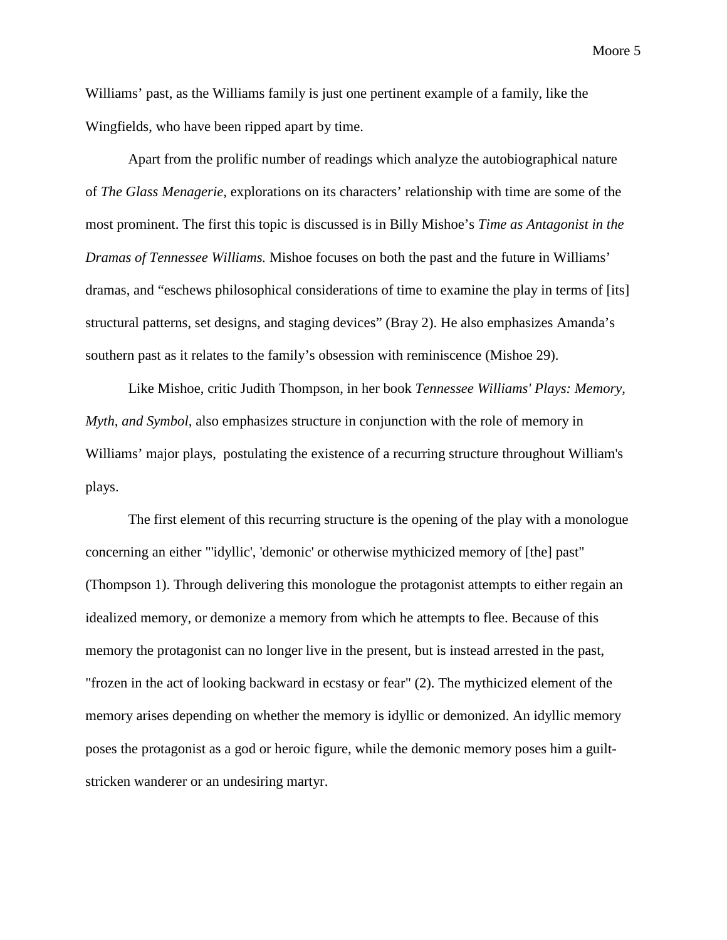Williams' past, as the Williams family is just one pertinent example of a family, like the Wingfields, who have been ripped apart by time.

Apart from the prolific number of readings which analyze the autobiographical nature of *The Glass Menagerie,* explorations on its characters' relationship with time are some of the most prominent. The first this topic is discussed is in Billy Mishoe's *Time as Antagonist in the Dramas of Tennessee Williams.* Mishoe focuses on both the past and the future in Williams' dramas, and "eschews philosophical considerations of time to examine the play in terms of [its] structural patterns, set designs, and staging devices" (Bray 2). He also emphasizes Amanda's southern past as it relates to the family's obsession with reminiscence (Mishoe 29).

Like Mishoe, critic Judith Thompson, in her book *Tennessee Williams' Plays: Memory, Myth, and Symbol,* also emphasizes structure in conjunction with the role of memory in Williams' major plays, postulating the existence of a recurring structure throughout William's plays.

The first element of this recurring structure is the opening of the play with a monologue concerning an either "'idyllic', 'demonic' or otherwise mythicized memory of [the] past" (Thompson 1). Through delivering this monologue the protagonist attempts to either regain an idealized memory, or demonize a memory from which he attempts to flee. Because of this memory the protagonist can no longer live in the present, but is instead arrested in the past, "frozen in the act of looking backward in ecstasy or fear" (2). The mythicized element of the memory arises depending on whether the memory is idyllic or demonized. An idyllic memory poses the protagonist as a god or heroic figure, while the demonic memory poses him a guiltstricken wanderer or an undesiring martyr.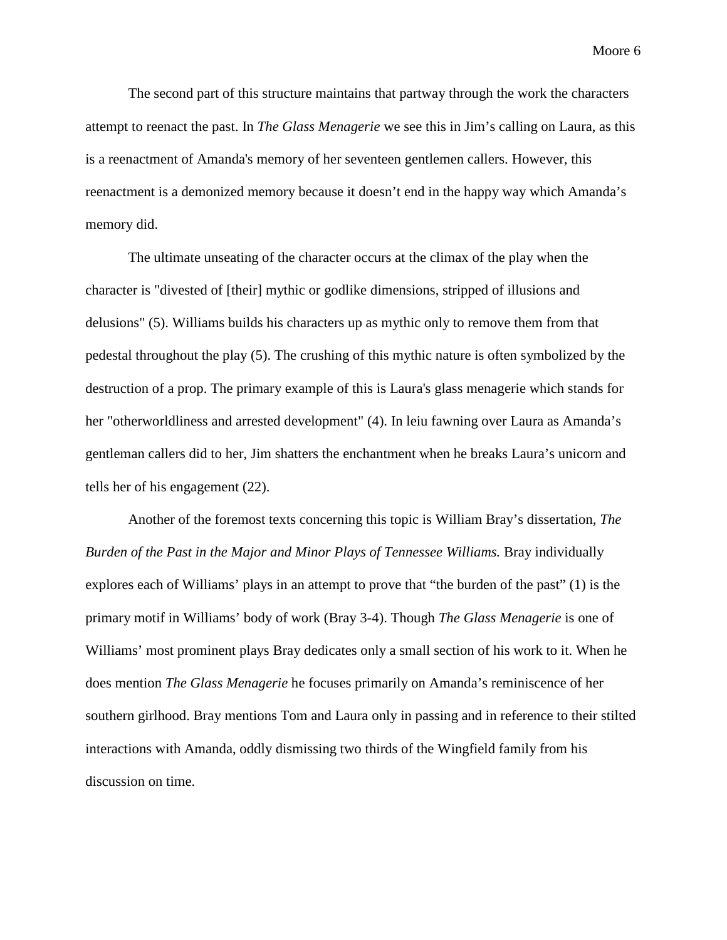The second part of this structure maintains that partway through the work the characters attempt to reenact the past. In *The Glass Menagerie* we see this in Jim's calling on Laura, as this is a reenactment of Amanda's memory of her seventeen gentlemen callers. However, this reenactment is a demonized memory because it doesn't end in the happy way which Amanda's memory did.

The ultimate unseating of the character occurs at the climax of the play when the character is "divested of [their] mythic or godlike dimensions, stripped of illusions and delusions" (5). Williams builds his characters up as mythic only to remove them from that pedestal throughout the play (5). The crushing of this mythic nature is often symbolized by the destruction of a prop. The primary example of this is Laura's glass menagerie which stands for her "otherworldliness and arrested development" (4). In leiu fawning over Laura as Amanda's gentleman callers did to her, Jim shatters the enchantment when he breaks Laura's unicorn and tells her of his engagement (22).

Another of the foremost texts concerning this topic is William Bray's dissertation, *The Burden of the Past in the Major and Minor Plays of Tennessee Williams.* Bray individually explores each of Williams' plays in an attempt to prove that "the burden of the past" (1) is the primary motif in Williams' body of work (Bray 3-4). Though *The Glass Menagerie* is one of Williams' most prominent plays Bray dedicates only a small section of his work to it. When he does mention *The Glass Menagerie* he focuses primarily on Amanda's reminiscence of her southern girlhood. Bray mentions Tom and Laura only in passing and in reference to their stilted interactions with Amanda, oddly dismissing two thirds of the Wingfield family from his discussion on time.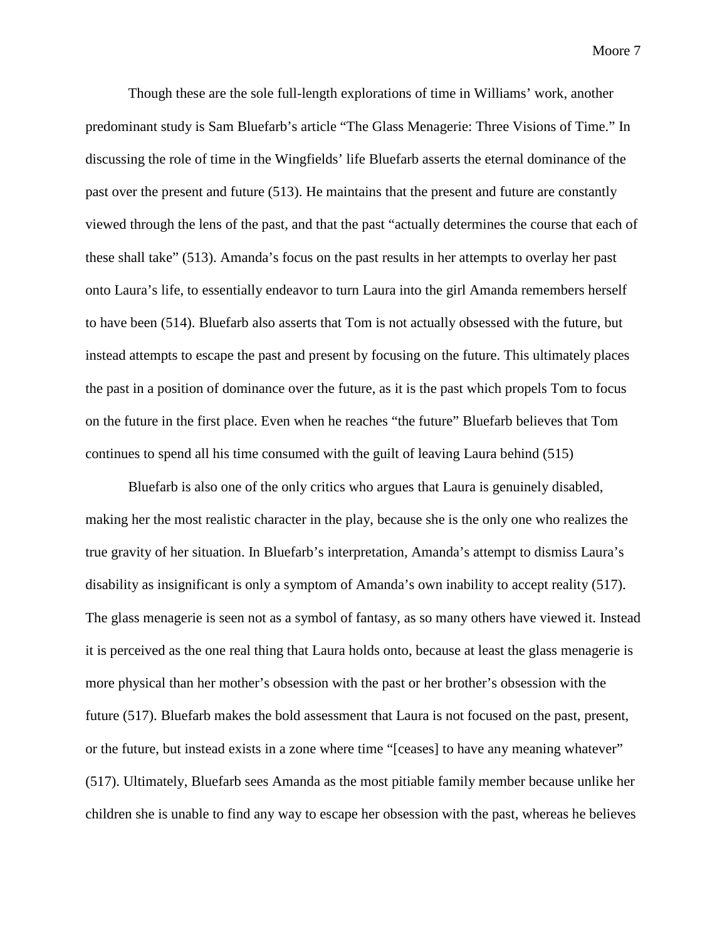Though these are the sole full-length explorations of time in Williams' work, another predominant study is Sam Bluefarb's article "The Glass Menagerie: Three Visions of Time." In discussing the role of time in the Wingfields' life Bluefarb asserts the eternal dominance of the past over the present and future (513). He maintains that the present and future are constantly viewed through the lens of the past, and that the past "actually determines the course that each of these shall take" (513). Amanda's focus on the past results in her attempts to overlay her past onto Laura's life, to essentially endeavor to turn Laura into the girl Amanda remembers herself to have been (514). Bluefarb also asserts that Tom is not actually obsessed with the future, but instead attempts to escape the past and present by focusing on the future. This ultimately places the past in a position of dominance over the future, as it is the past which propels Tom to focus on the future in the first place. Even when he reaches "the future" Bluefarb believes that Tom continues to spend all his time consumed with the guilt of leaving Laura behind (515)

Bluefarb is also one of the only critics who argues that Laura is genuinely disabled, making her the most realistic character in the play, because she is the only one who realizes the true gravity of her situation. In Bluefarb's interpretation, Amanda's attempt to dismiss Laura's disability as insignificant is only a symptom of Amanda's own inability to accept reality (517). The glass menagerie is seen not as a symbol of fantasy, as so many others have viewed it. Instead it is perceived as the one real thing that Laura holds onto, because at least the glass menagerie is more physical than her mother's obsession with the past or her brother's obsession with the future (517). Bluefarb makes the bold assessment that Laura is not focused on the past, present, or the future, but instead exists in a zone where time "[ceases] to have any meaning whatever" (517). Ultimately, Bluefarb sees Amanda as the most pitiable family member because unlike her children she is unable to find any way to escape her obsession with the past, whereas he believes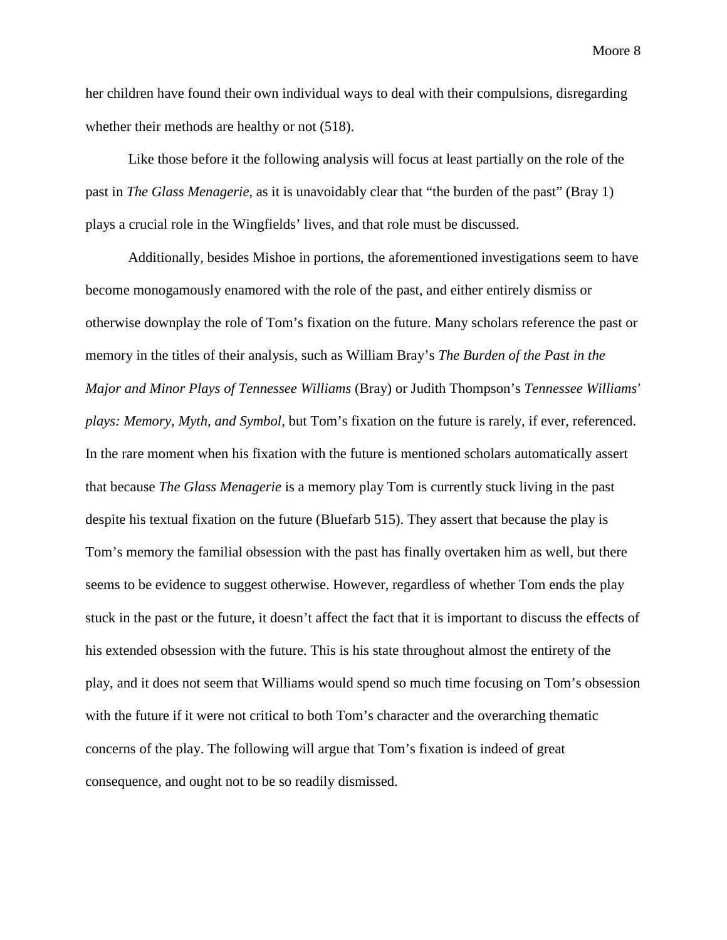her children have found their own individual ways to deal with their compulsions, disregarding whether their methods are healthy or not (518).

Like those before it the following analysis will focus at least partially on the role of the past in *The Glass Menagerie,* as it is unavoidably clear that "the burden of the past" (Bray 1) plays a crucial role in the Wingfields' lives, and that role must be discussed.

Additionally, besides Mishoe in portions, the aforementioned investigations seem to have become monogamously enamored with the role of the past, and either entirely dismiss or otherwise downplay the role of Tom's fixation on the future. Many scholars reference the past or memory in the titles of their analysis, such as William Bray's *The Burden of the Past in the Major and Minor Plays of Tennessee Williams* (Bray) or Judith Thompson's *Tennessee Williams' plays: Memory, Myth, and Symbol,* but Tom's fixation on the future is rarely, if ever, referenced. In the rare moment when his fixation with the future is mentioned scholars automatically assert that because *The Glass Menagerie* is a memory play Tom is currently stuck living in the past despite his textual fixation on the future (Bluefarb 515). They assert that because the play is Tom's memory the familial obsession with the past has finally overtaken him as well, but there seems to be evidence to suggest otherwise. However, regardless of whether Tom ends the play stuck in the past or the future, it doesn't affect the fact that it is important to discuss the effects of his extended obsession with the future. This is his state throughout almost the entirety of the play, and it does not seem that Williams would spend so much time focusing on Tom's obsession with the future if it were not critical to both Tom's character and the overarching thematic concerns of the play. The following will argue that Tom's fixation is indeed of great consequence, and ought not to be so readily dismissed.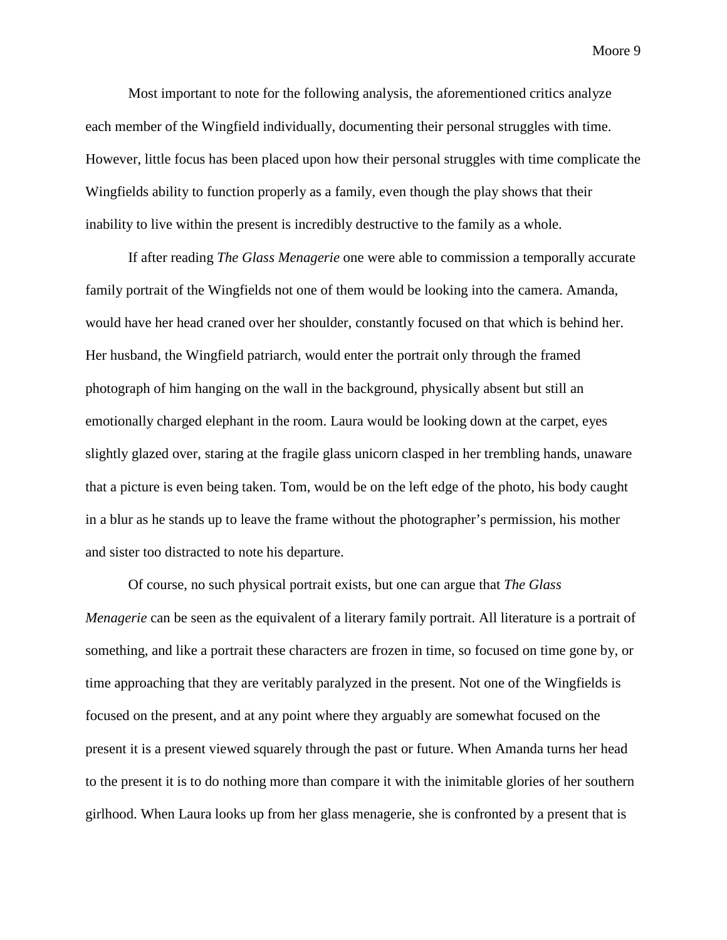Most important to note for the following analysis, the aforementioned critics analyze each member of the Wingfield individually, documenting their personal struggles with time. However, little focus has been placed upon how their personal struggles with time complicate the Wingfields ability to function properly as a family, even though the play shows that their inability to live within the present is incredibly destructive to the family as a whole.

If after reading *The Glass Menagerie* one were able to commission a temporally accurate family portrait of the Wingfields not one of them would be looking into the camera. Amanda, would have her head craned over her shoulder, constantly focused on that which is behind her. Her husband, the Wingfield patriarch, would enter the portrait only through the framed photograph of him hanging on the wall in the background, physically absent but still an emotionally charged elephant in the room. Laura would be looking down at the carpet, eyes slightly glazed over, staring at the fragile glass unicorn clasped in her trembling hands, unaware that a picture is even being taken. Tom, would be on the left edge of the photo, his body caught in a blur as he stands up to leave the frame without the photographer's permission, his mother and sister too distracted to note his departure.

Of course, no such physical portrait exists, but one can argue that *The Glass Menagerie* can be seen as the equivalent of a literary family portrait. All literature is a portrait of something, and like a portrait these characters are frozen in time, so focused on time gone by, or time approaching that they are veritably paralyzed in the present. Not one of the Wingfields is focused on the present, and at any point where they arguably are somewhat focused on the present it is a present viewed squarely through the past or future. When Amanda turns her head to the present it is to do nothing more than compare it with the inimitable glories of her southern girlhood. When Laura looks up from her glass menagerie, she is confronted by a present that is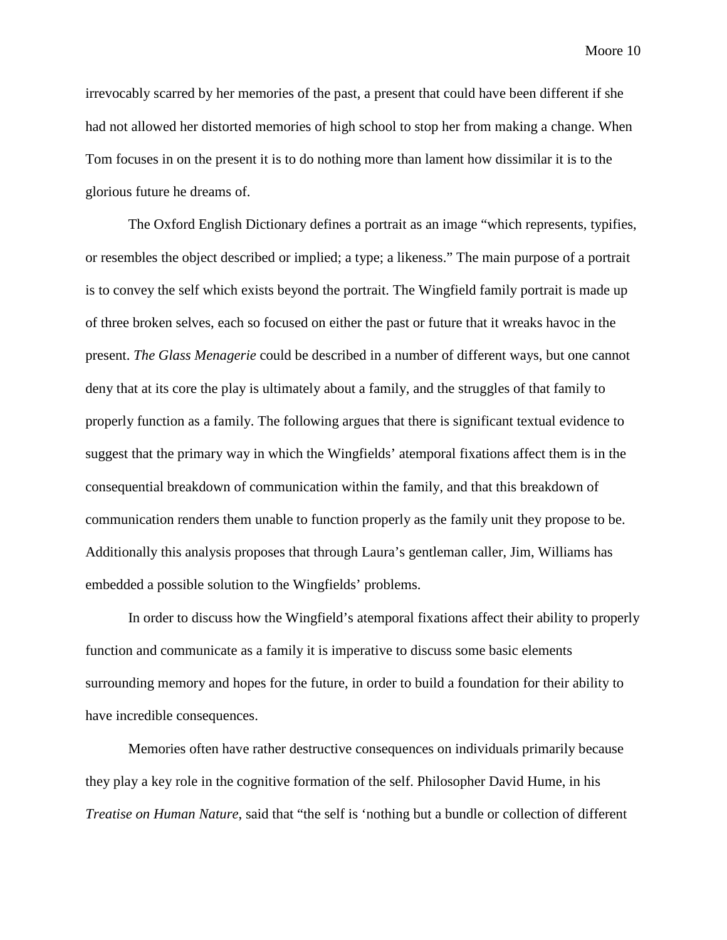irrevocably scarred by her memories of the past, a present that could have been different if she had not allowed her distorted memories of high school to stop her from making a change. When Tom focuses in on the present it is to do nothing more than lament how dissimilar it is to the glorious future he dreams of.

The Oxford English Dictionary defines a portrait as an image "which represents, typifies, or resembles the object described or implied; a type; a likeness." The main purpose of a portrait is to convey the self which exists beyond the portrait. The Wingfield family portrait is made up of three broken selves, each so focused on either the past or future that it wreaks havoc in the present. *The Glass Menagerie* could be described in a number of different ways, but one cannot deny that at its core the play is ultimately about a family, and the struggles of that family to properly function as a family. The following argues that there is significant textual evidence to suggest that the primary way in which the Wingfields' atemporal fixations affect them is in the consequential breakdown of communication within the family, and that this breakdown of communication renders them unable to function properly as the family unit they propose to be. Additionally this analysis proposes that through Laura's gentleman caller, Jim, Williams has embedded a possible solution to the Wingfields' problems.

In order to discuss how the Wingfield's atemporal fixations affect their ability to properly function and communicate as a family it is imperative to discuss some basic elements surrounding memory and hopes for the future, in order to build a foundation for their ability to have incredible consequences.

Memories often have rather destructive consequences on individuals primarily because they play a key role in the cognitive formation of the self. Philosopher David Hume, in his *Treatise on Human Nature*, said that "the self is 'nothing but a bundle or collection of different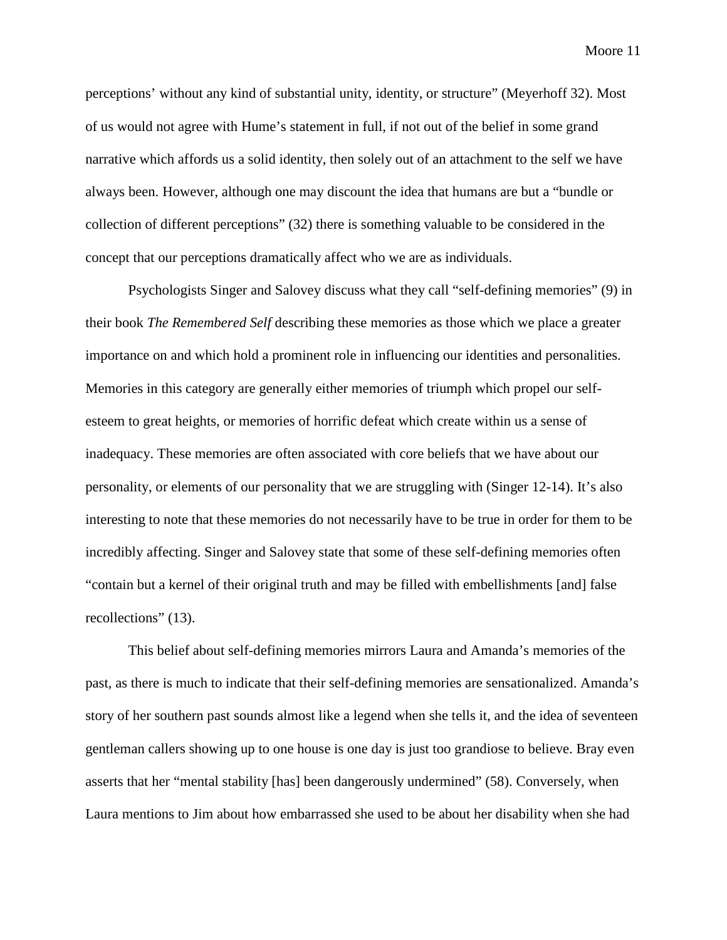perceptions' without any kind of substantial unity, identity, or structure" (Meyerhoff 32). Most of us would not agree with Hume's statement in full, if not out of the belief in some grand narrative which affords us a solid identity, then solely out of an attachment to the self we have always been. However, although one may discount the idea that humans are but a "bundle or collection of different perceptions" (32) there is something valuable to be considered in the concept that our perceptions dramatically affect who we are as individuals.

Psychologists Singer and Salovey discuss what they call "self-defining memories" (9) in their book *The Remembered Self* describing these memories as those which we place a greater importance on and which hold a prominent role in influencing our identities and personalities. Memories in this category are generally either memories of triumph which propel our selfesteem to great heights, or memories of horrific defeat which create within us a sense of inadequacy. These memories are often associated with core beliefs that we have about our personality, or elements of our personality that we are struggling with (Singer 12-14). It's also interesting to note that these memories do not necessarily have to be true in order for them to be incredibly affecting. Singer and Salovey state that some of these self-defining memories often "contain but a kernel of their original truth and may be filled with embellishments [and] false recollections" (13).

This belief about self-defining memories mirrors Laura and Amanda's memories of the past, as there is much to indicate that their self-defining memories are sensationalized. Amanda's story of her southern past sounds almost like a legend when she tells it, and the idea of seventeen gentleman callers showing up to one house is one day is just too grandiose to believe. Bray even asserts that her "mental stability [has] been dangerously undermined" (58). Conversely, when Laura mentions to Jim about how embarrassed she used to be about her disability when she had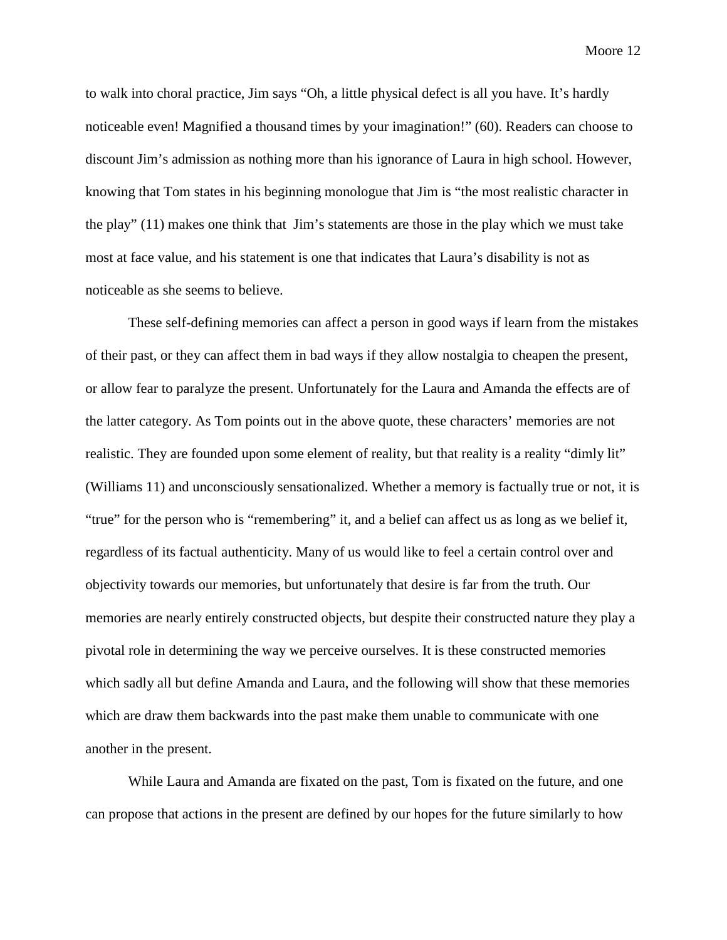to walk into choral practice, Jim says "Oh, a little physical defect is all you have. It's hardly noticeable even! Magnified a thousand times by your imagination!" (60). Readers can choose to discount Jim's admission as nothing more than his ignorance of Laura in high school. However, knowing that Tom states in his beginning monologue that Jim is "the most realistic character in the play" (11) makes one think that Jim's statements are those in the play which we must take most at face value, and his statement is one that indicates that Laura's disability is not as noticeable as she seems to believe.

These self-defining memories can affect a person in good ways if learn from the mistakes of their past, or they can affect them in bad ways if they allow nostalgia to cheapen the present, or allow fear to paralyze the present. Unfortunately for the Laura and Amanda the effects are of the latter category. As Tom points out in the above quote, these characters' memories are not realistic. They are founded upon some element of reality, but that reality is a reality "dimly lit" (Williams 11) and unconsciously sensationalized. Whether a memory is factually true or not, it is "true" for the person who is "remembering" it, and a belief can affect us as long as we belief it, regardless of its factual authenticity. Many of us would like to feel a certain control over and objectivity towards our memories, but unfortunately that desire is far from the truth. Our memories are nearly entirely constructed objects, but despite their constructed nature they play a pivotal role in determining the way we perceive ourselves. It is these constructed memories which sadly all but define Amanda and Laura, and the following will show that these memories which are draw them backwards into the past make them unable to communicate with one another in the present.

While Laura and Amanda are fixated on the past, Tom is fixated on the future, and one can propose that actions in the present are defined by our hopes for the future similarly to how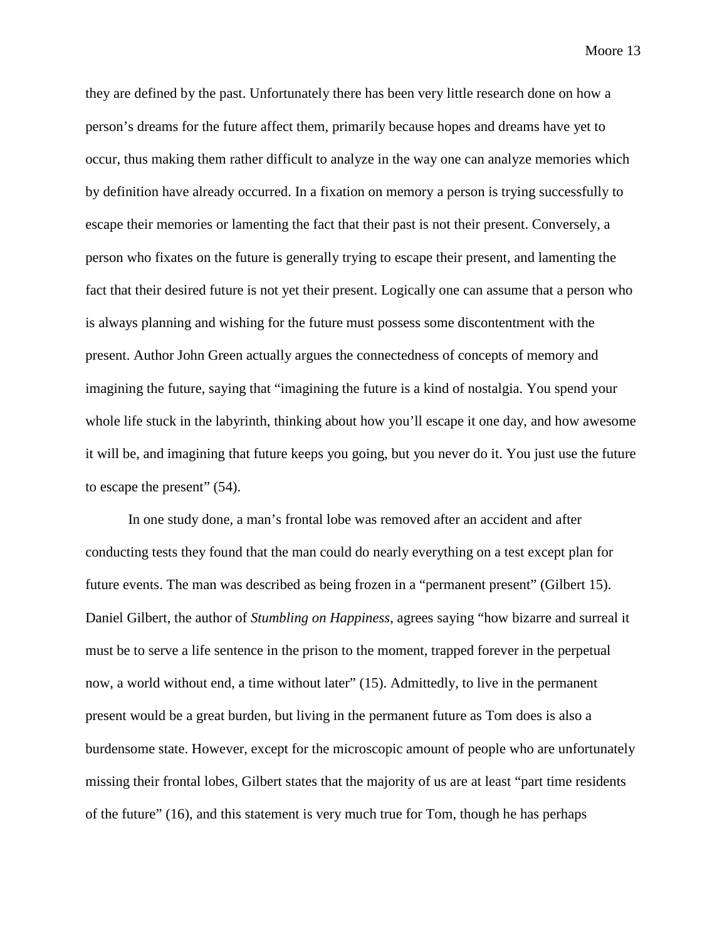they are defined by the past. Unfortunately there has been very little research done on how a person's dreams for the future affect them, primarily because hopes and dreams have yet to occur, thus making them rather difficult to analyze in the way one can analyze memories which by definition have already occurred. In a fixation on memory a person is trying successfully to escape their memories or lamenting the fact that their past is not their present. Conversely, a person who fixates on the future is generally trying to escape their present, and lamenting the fact that their desired future is not yet their present. Logically one can assume that a person who is always planning and wishing for the future must possess some discontentment with the present. Author John Green actually argues the connectedness of concepts of memory and imagining the future, saying that "imagining the future is a kind of nostalgia. You spend your whole life stuck in the labyrinth, thinking about how you'll escape it one day, and how awesome it will be, and imagining that future keeps you going, but you never do it. You just use the future to escape the present" (54).

In one study done, a man's frontal lobe was removed after an accident and after conducting tests they found that the man could do nearly everything on a test except plan for future events. The man was described as being frozen in a "permanent present" (Gilbert 15). Daniel Gilbert, the author of *Stumbling on Happiness*, agrees saying "how bizarre and surreal it must be to serve a life sentence in the prison to the moment, trapped forever in the perpetual now, a world without end, a time without later" (15). Admittedly, to live in the permanent present would be a great burden, but living in the permanent future as Tom does is also a burdensome state. However, except for the microscopic amount of people who are unfortunately missing their frontal lobes, Gilbert states that the majority of us are at least "part time residents of the future" (16), and this statement is very much true for Tom, though he has perhaps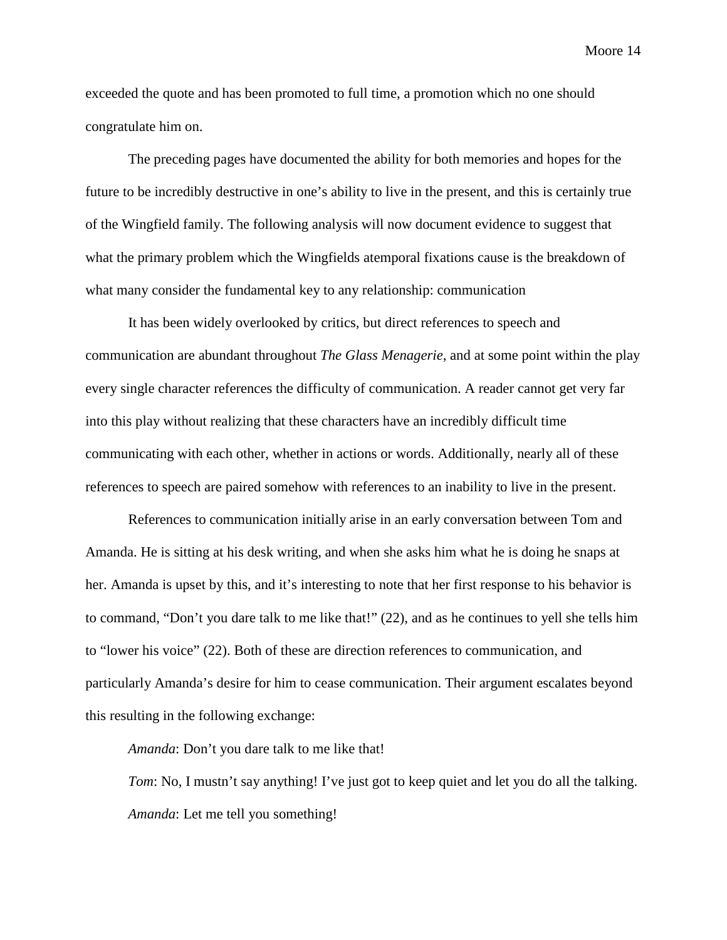exceeded the quote and has been promoted to full time, a promotion which no one should

congratulate him on.

The preceding pages have documented the ability for both memories and hopes for the future to be incredibly destructive in one's ability to live in the present, and this is certainly true of the Wingfield family. The following analysis will now document evidence to suggest that what the primary problem which the Wingfields atemporal fixations cause is the breakdown of what many consider the fundamental key to any relationship: communication

It has been widely overlooked by critics, but direct references to speech and communication are abundant throughout *The Glass Menagerie*, and at some point within the play every single character references the difficulty of communication. A reader cannot get very far into this play without realizing that these characters have an incredibly difficult time communicating with each other, whether in actions or words. Additionally, nearly all of these references to speech are paired somehow with references to an inability to live in the present.

References to communication initially arise in an early conversation between Tom and Amanda. He is sitting at his desk writing, and when she asks him what he is doing he snaps at her. Amanda is upset by this, and it's interesting to note that her first response to his behavior is to command, "Don't you dare talk to me like that!" (22), and as he continues to yell she tells him to "lower his voice" (22). Both of these are direction references to communication, and particularly Amanda's desire for him to cease communication. Their argument escalates beyond this resulting in the following exchange:

*Amanda*: Don't you dare talk to me like that!

*Tom*: No, I mustn't say anything! I've just got to keep quiet and let you do all the talking. *Amanda*: Let me tell you something!

Moore 14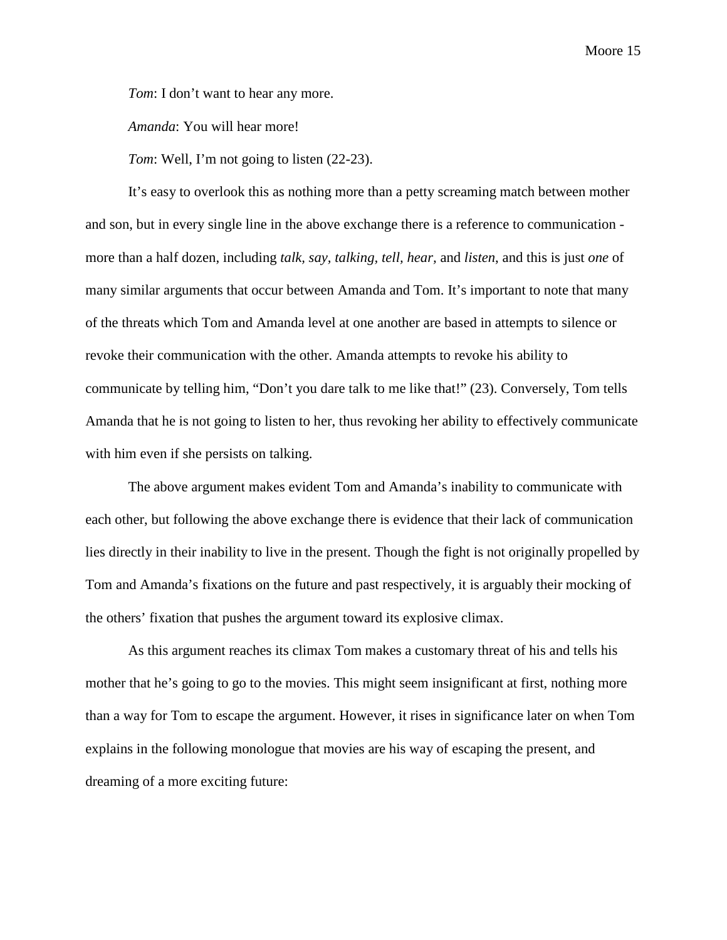*Tom*: I don't want to hear any more.

*Amanda*: You will hear more!

*Tom*: Well, I'm not going to listen (22-23).

It's easy to overlook this as nothing more than a petty screaming match between mother and son, but in every single line in the above exchange there is a reference to communication more than a half dozen, including *talk, say, talking, tell, hear,* and *listen*, and this is just *one* of many similar arguments that occur between Amanda and Tom. It's important to note that many of the threats which Tom and Amanda level at one another are based in attempts to silence or revoke their communication with the other. Amanda attempts to revoke his ability to communicate by telling him, "Don't you dare talk to me like that!" (23). Conversely, Tom tells Amanda that he is not going to listen to her, thus revoking her ability to effectively communicate with him even if she persists on talking.

The above argument makes evident Tom and Amanda's inability to communicate with each other, but following the above exchange there is evidence that their lack of communication lies directly in their inability to live in the present. Though the fight is not originally propelled by Tom and Amanda's fixations on the future and past respectively, it is arguably their mocking of the others' fixation that pushes the argument toward its explosive climax.

As this argument reaches its climax Tom makes a customary threat of his and tells his mother that he's going to go to the movies. This might seem insignificant at first, nothing more than a way for Tom to escape the argument. However, it rises in significance later on when Tom explains in the following monologue that movies are his way of escaping the present, and dreaming of a more exciting future: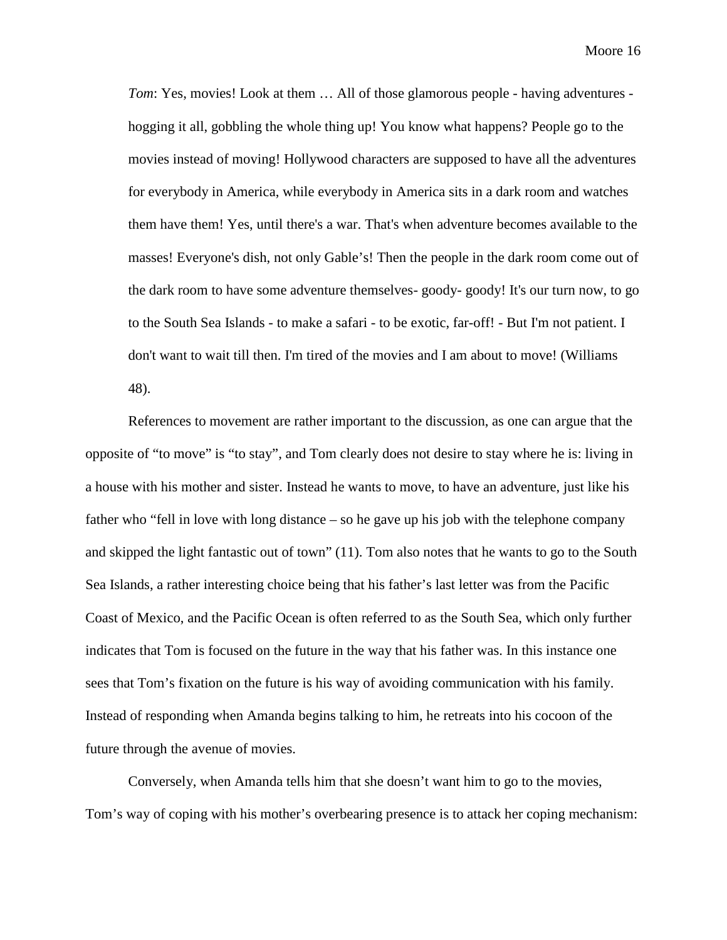*Tom*: Yes, movies! Look at them ... All of those glamorous people - having adventures hogging it all, gobbling the whole thing up! You know what happens? People go to the movies instead of moving! Hollywood characters are supposed to have all the adventures for everybody in America, while everybody in America sits in a dark room and watches them have them! Yes, until there's a war. That's when adventure becomes available to the masses! Everyone's dish, not only Gable's! Then the people in the dark room come out of the dark room to have some adventure themselves- goody- goody! It's our turn now, to go to the South Sea Islands - to make a safari - to be exotic, far-off! - But I'm not patient. I don't want to wait till then. I'm tired of the movies and I am about to move! (Williams 48).

References to movement are rather important to the discussion, as one can argue that the opposite of "to move" is "to stay", and Tom clearly does not desire to stay where he is: living in a house with his mother and sister. Instead he wants to move, to have an adventure, just like his father who "fell in love with long distance – so he gave up his job with the telephone company and skipped the light fantastic out of town" (11). Tom also notes that he wants to go to the South Sea Islands, a rather interesting choice being that his father's last letter was from the Pacific Coast of Mexico, and the Pacific Ocean is often referred to as the South Sea, which only further indicates that Tom is focused on the future in the way that his father was. In this instance one sees that Tom's fixation on the future is his way of avoiding communication with his family. Instead of responding when Amanda begins talking to him, he retreats into his cocoon of the future through the avenue of movies.

Conversely, when Amanda tells him that she doesn't want him to go to the movies, Tom's way of coping with his mother's overbearing presence is to attack her coping mechanism: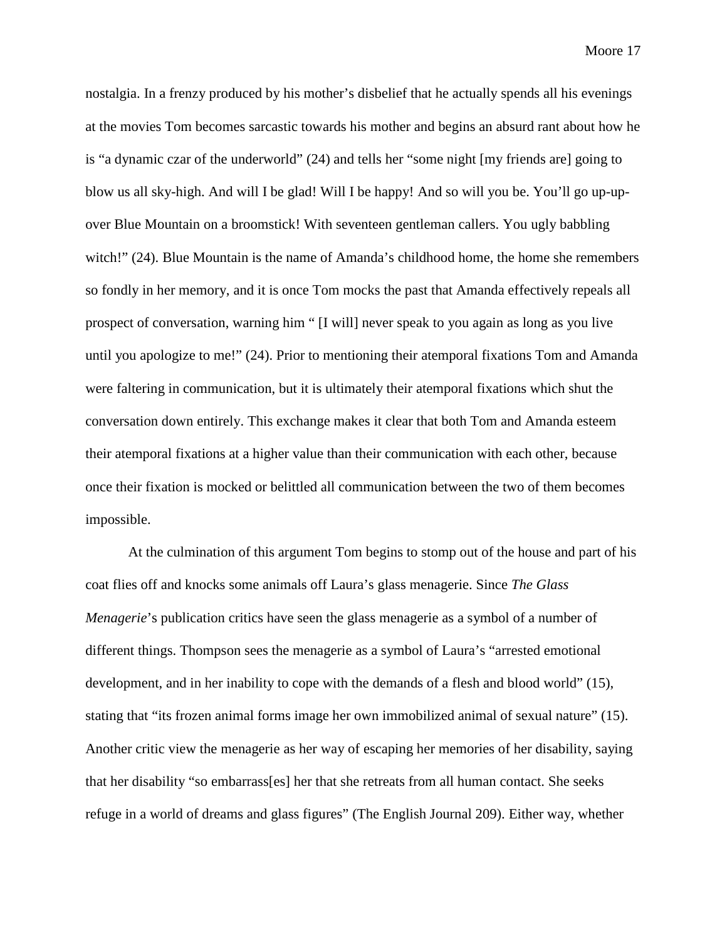nostalgia. In a frenzy produced by his mother's disbelief that he actually spends all his evenings at the movies Tom becomes sarcastic towards his mother and begins an absurd rant about how he is "a dynamic czar of the underworld" (24) and tells her "some night [my friends are] going to blow us all sky-high. And will I be glad! Will I be happy! And so will you be. You'll go up-upover Blue Mountain on a broomstick! With seventeen gentleman callers. You ugly babbling witch!" (24). Blue Mountain is the name of Amanda's childhood home, the home she remembers so fondly in her memory, and it is once Tom mocks the past that Amanda effectively repeals all prospect of conversation, warning him " [I will] never speak to you again as long as you live until you apologize to me!" (24). Prior to mentioning their atemporal fixations Tom and Amanda were faltering in communication, but it is ultimately their atemporal fixations which shut the conversation down entirely. This exchange makes it clear that both Tom and Amanda esteem their atemporal fixations at a higher value than their communication with each other, because once their fixation is mocked or belittled all communication between the two of them becomes impossible.

At the culmination of this argument Tom begins to stomp out of the house and part of his coat flies off and knocks some animals off Laura's glass menagerie. Since *The Glass Menagerie*'s publication critics have seen the glass menagerie as a symbol of a number of different things. Thompson sees the menagerie as a symbol of Laura's "arrested emotional development, and in her inability to cope with the demands of a flesh and blood world" (15), stating that "its frozen animal forms image her own immobilized animal of sexual nature" (15). Another critic view the menagerie as her way of escaping her memories of her disability, saying that her disability "so embarrass[es] her that she retreats from all human contact. She seeks refuge in a world of dreams and glass figures" (The English Journal 209). Either way, whether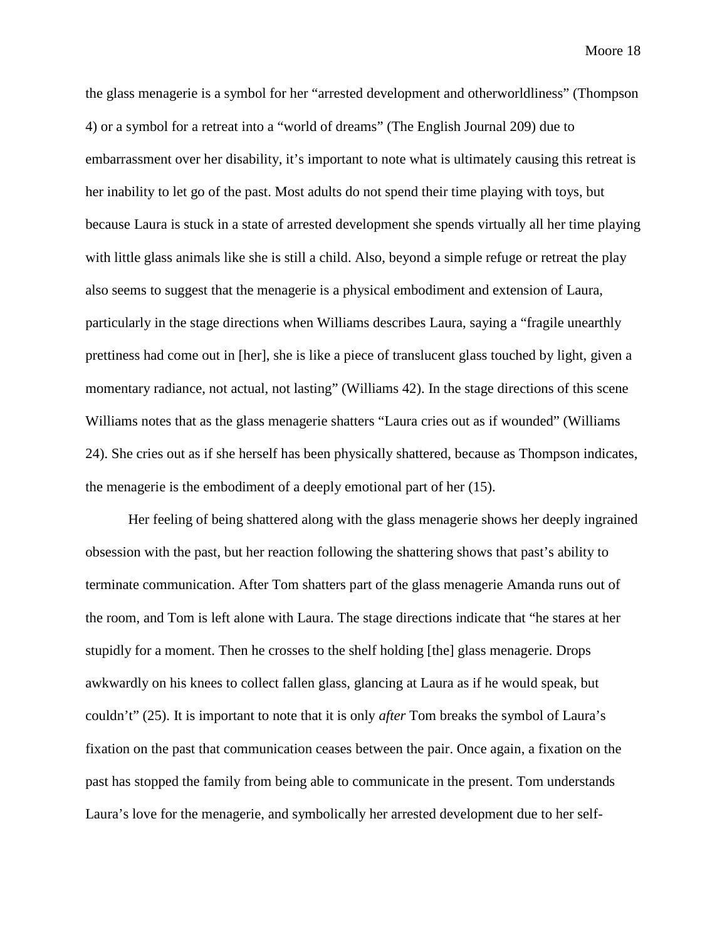the glass menagerie is a symbol for her "arrested development and otherworldliness" (Thompson 4) or a symbol for a retreat into a "world of dreams" (The English Journal 209) due to embarrassment over her disability, it's important to note what is ultimately causing this retreat is her inability to let go of the past. Most adults do not spend their time playing with toys, but because Laura is stuck in a state of arrested development she spends virtually all her time playing with little glass animals like she is still a child. Also, beyond a simple refuge or retreat the play also seems to suggest that the menagerie is a physical embodiment and extension of Laura, particularly in the stage directions when Williams describes Laura, saying a "fragile unearthly prettiness had come out in [her], she is like a piece of translucent glass touched by light, given a momentary radiance, not actual, not lasting" (Williams 42). In the stage directions of this scene Williams notes that as the glass menagerie shatters "Laura cries out as if wounded" (Williams 24). She cries out as if she herself has been physically shattered, because as Thompson indicates, the menagerie is the embodiment of a deeply emotional part of her (15).

Her feeling of being shattered along with the glass menagerie shows her deeply ingrained obsession with the past, but her reaction following the shattering shows that past's ability to terminate communication. After Tom shatters part of the glass menagerie Amanda runs out of the room, and Tom is left alone with Laura. The stage directions indicate that "he stares at her stupidly for a moment. Then he crosses to the shelf holding [the] glass menagerie. Drops awkwardly on his knees to collect fallen glass, glancing at Laura as if he would speak, but couldn't" (25). It is important to note that it is only *after* Tom breaks the symbol of Laura's fixation on the past that communication ceases between the pair. Once again, a fixation on the past has stopped the family from being able to communicate in the present. Tom understands Laura's love for the menagerie, and symbolically her arrested development due to her self-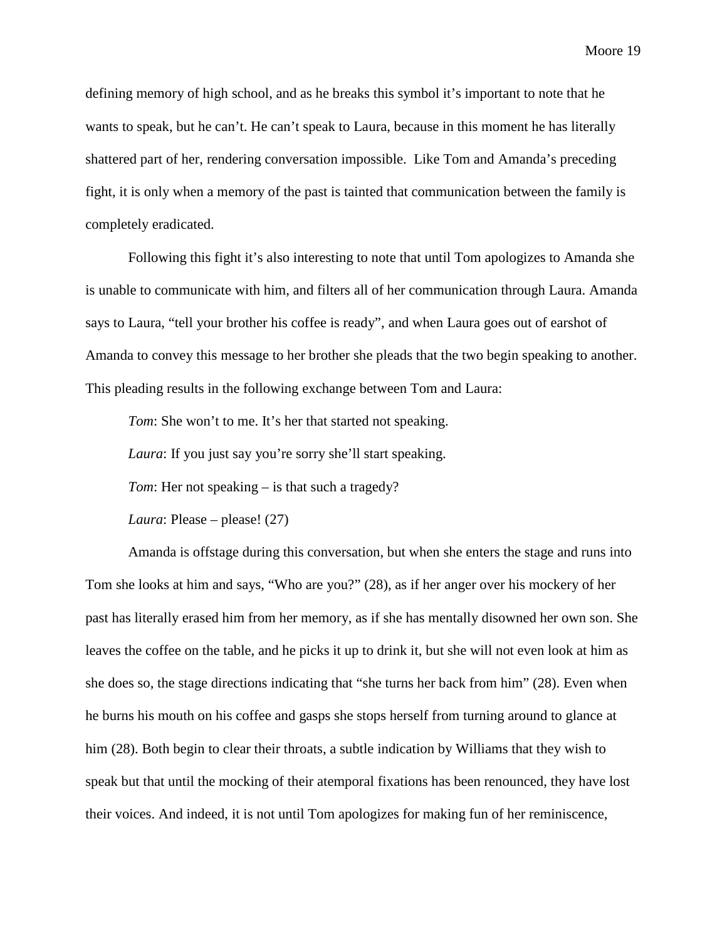defining memory of high school, and as he breaks this symbol it's important to note that he wants to speak, but he can't. He can't speak to Laura, because in this moment he has literally shattered part of her, rendering conversation impossible. Like Tom and Amanda's preceding fight, it is only when a memory of the past is tainted that communication between the family is completely eradicated.

Following this fight it's also interesting to note that until Tom apologizes to Amanda she is unable to communicate with him, and filters all of her communication through Laura. Amanda says to Laura, "tell your brother his coffee is ready", and when Laura goes out of earshot of Amanda to convey this message to her brother she pleads that the two begin speaking to another. This pleading results in the following exchange between Tom and Laura:

*Tom*: She won't to me. It's her that started not speaking.

*Laura*: If you just say you're sorry she'll start speaking.

*Tom*: Her not speaking – is that such a tragedy?

*Laura*: Please – please! (27)

Amanda is offstage during this conversation, but when she enters the stage and runs into Tom she looks at him and says, "Who are you?" (28), as if her anger over his mockery of her past has literally erased him from her memory, as if she has mentally disowned her own son. She leaves the coffee on the table, and he picks it up to drink it, but she will not even look at him as she does so, the stage directions indicating that "she turns her back from him" (28). Even when he burns his mouth on his coffee and gasps she stops herself from turning around to glance at him (28). Both begin to clear their throats, a subtle indication by Williams that they wish to speak but that until the mocking of their atemporal fixations has been renounced, they have lost their voices. And indeed, it is not until Tom apologizes for making fun of her reminiscence,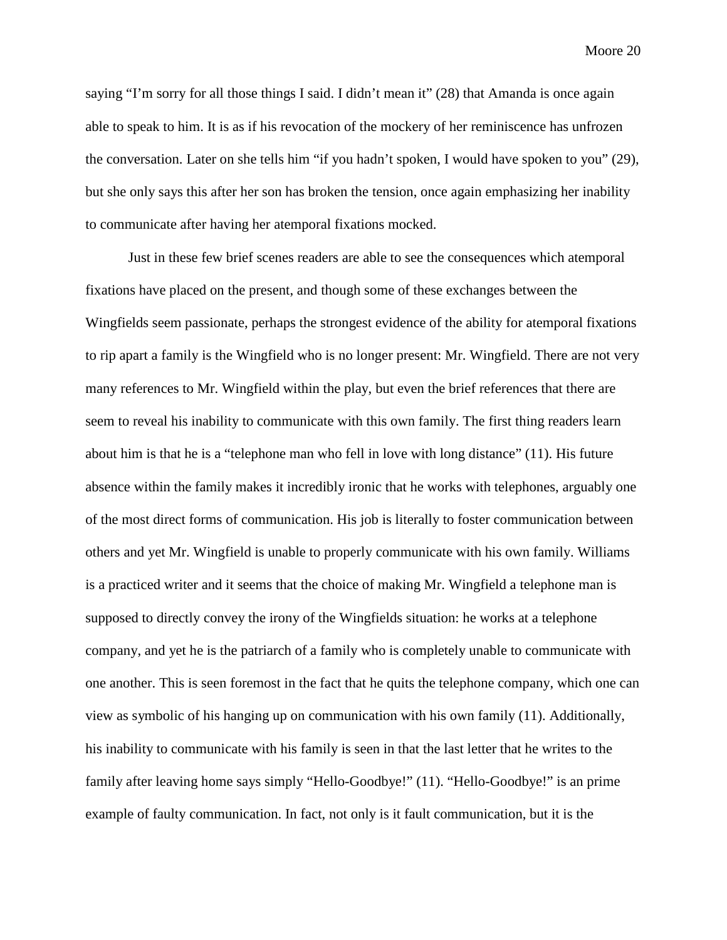saying "I'm sorry for all those things I said. I didn't mean it" (28) that Amanda is once again able to speak to him. It is as if his revocation of the mockery of her reminiscence has unfrozen the conversation. Later on she tells him "if you hadn't spoken, I would have spoken to you" (29), but she only says this after her son has broken the tension, once again emphasizing her inability to communicate after having her atemporal fixations mocked.

Just in these few brief scenes readers are able to see the consequences which atemporal fixations have placed on the present, and though some of these exchanges between the Wingfields seem passionate, perhaps the strongest evidence of the ability for atemporal fixations to rip apart a family is the Wingfield who is no longer present: Mr. Wingfield. There are not very many references to Mr. Wingfield within the play, but even the brief references that there are seem to reveal his inability to communicate with this own family. The first thing readers learn about him is that he is a "telephone man who fell in love with long distance" (11). His future absence within the family makes it incredibly ironic that he works with telephones, arguably one of the most direct forms of communication. His job is literally to foster communication between others and yet Mr. Wingfield is unable to properly communicate with his own family. Williams is a practiced writer and it seems that the choice of making Mr. Wingfield a telephone man is supposed to directly convey the irony of the Wingfields situation: he works at a telephone company, and yet he is the patriarch of a family who is completely unable to communicate with one another. This is seen foremost in the fact that he quits the telephone company, which one can view as symbolic of his hanging up on communication with his own family (11). Additionally, his inability to communicate with his family is seen in that the last letter that he writes to the family after leaving home says simply "Hello-Goodbye!" (11). "Hello-Goodbye!" is an prime example of faulty communication. In fact, not only is it fault communication, but it is the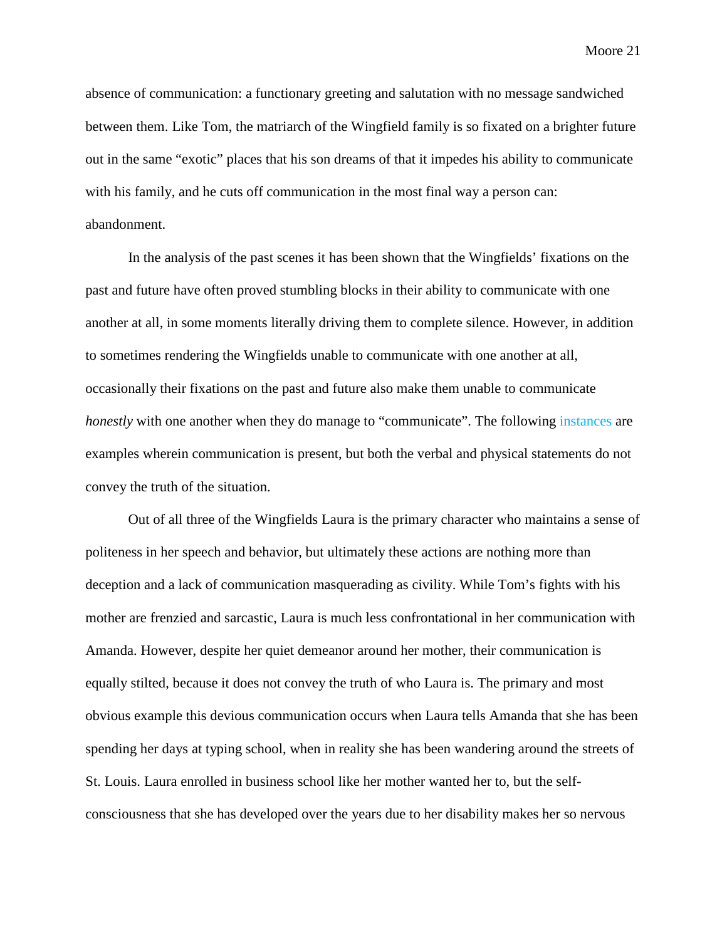absence of communication: a functionary greeting and salutation with no message sandwiched between them. Like Tom, the matriarch of the Wingfield family is so fixated on a brighter future out in the same "exotic" places that his son dreams of that it impedes his ability to communicate with his family, and he cuts off communication in the most final way a person can: abandonment.

In the analysis of the past scenes it has been shown that the Wingfields' fixations on the past and future have often proved stumbling blocks in their ability to communicate with one another at all, in some moments literally driving them to complete silence. However, in addition to sometimes rendering the Wingfields unable to communicate with one another at all, occasionally their fixations on the past and future also make them unable to communicate *honestly* with one another when they do manage to "communicate". The following *instances* are examples wherein communication is present, but both the verbal and physical statements do not convey the truth of the situation.

Out of all three of the Wingfields Laura is the primary character who maintains a sense of politeness in her speech and behavior, but ultimately these actions are nothing more than deception and a lack of communication masquerading as civility. While Tom's fights with his mother are frenzied and sarcastic, Laura is much less confrontational in her communication with Amanda. However, despite her quiet demeanor around her mother, their communication is equally stilted, because it does not convey the truth of who Laura is. The primary and most obvious example this devious communication occurs when Laura tells Amanda that she has been spending her days at typing school, when in reality she has been wandering around the streets of St. Louis. Laura enrolled in business school like her mother wanted her to, but the selfconsciousness that she has developed over the years due to her disability makes her so nervous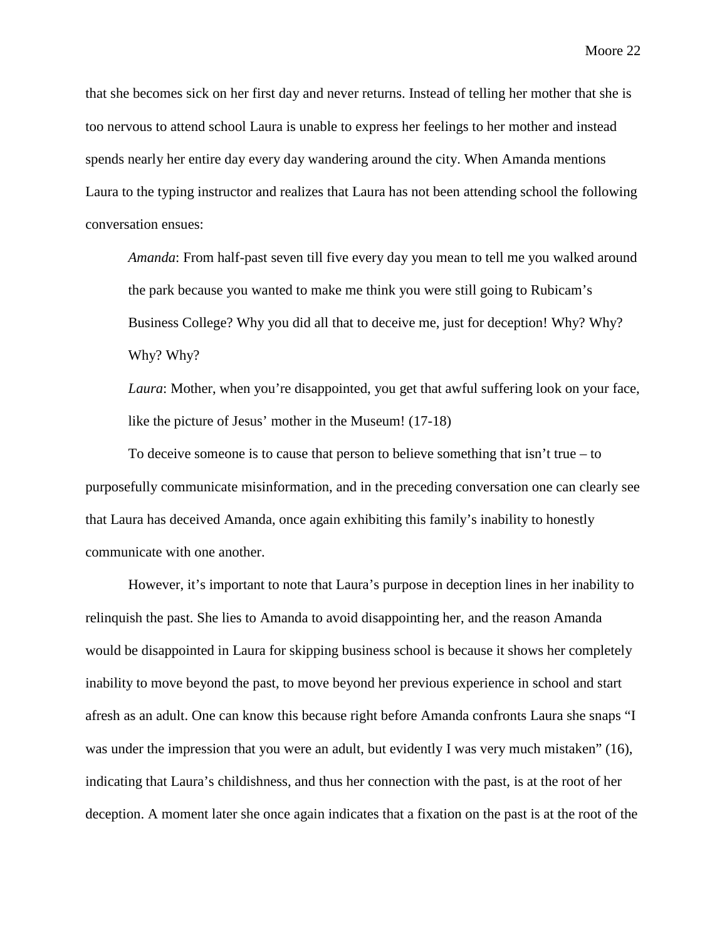that she becomes sick on her first day and never returns. Instead of telling her mother that she is too nervous to attend school Laura is unable to express her feelings to her mother and instead spends nearly her entire day every day wandering around the city. When Amanda mentions Laura to the typing instructor and realizes that Laura has not been attending school the following conversation ensues:

*Amanda*: From half-past seven till five every day you mean to tell me you walked around the park because you wanted to make me think you were still going to Rubicam's Business College? Why you did all that to deceive me, just for deception! Why? Why? Why? Why?

*Laura*: Mother, when you're disappointed, you get that awful suffering look on your face, like the picture of Jesus' mother in the Museum! (17-18)

To deceive someone is to cause that person to believe something that  $\sin^2 t$  true – to purposefully communicate misinformation, and in the preceding conversation one can clearly see that Laura has deceived Amanda, once again exhibiting this family's inability to honestly communicate with one another.

However, it's important to note that Laura's purpose in deception lines in her inability to relinquish the past. She lies to Amanda to avoid disappointing her, and the reason Amanda would be disappointed in Laura for skipping business school is because it shows her completely inability to move beyond the past, to move beyond her previous experience in school and start afresh as an adult. One can know this because right before Amanda confronts Laura she snaps "I was under the impression that you were an adult, but evidently I was very much mistaken" (16), indicating that Laura's childishness, and thus her connection with the past, is at the root of her deception. A moment later she once again indicates that a fixation on the past is at the root of the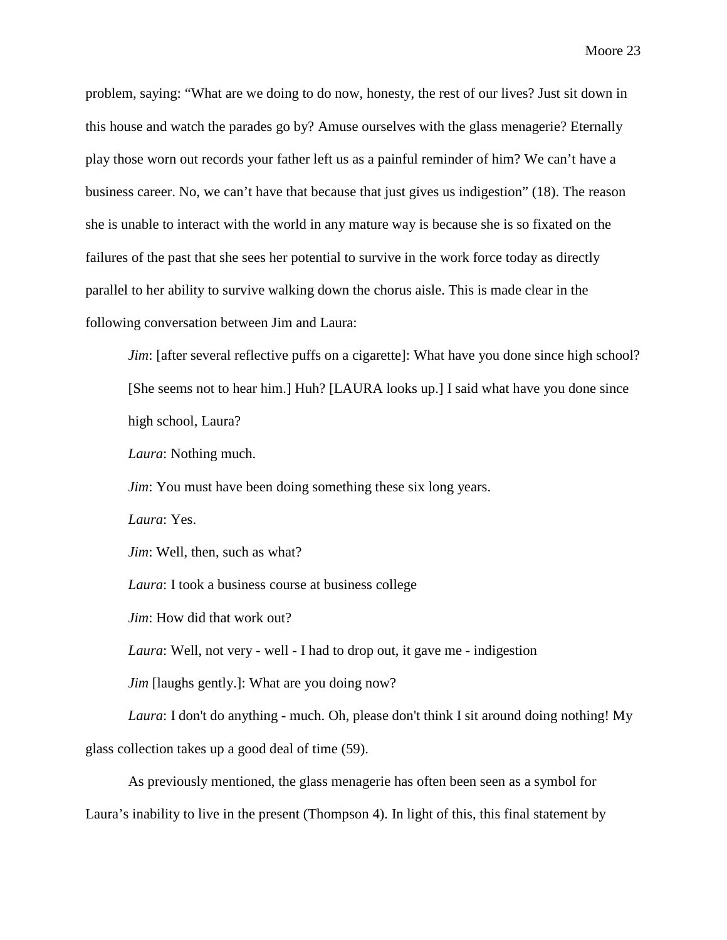problem, saying: "What are we doing to do now, honesty, the rest of our lives? Just sit down in this house and watch the parades go by? Amuse ourselves with the glass menagerie? Eternally play those worn out records your father left us as a painful reminder of him? We can't have a business career. No, we can't have that because that just gives us indigestion" (18). The reason she is unable to interact with the world in any mature way is because she is so fixated on the failures of the past that she sees her potential to survive in the work force today as directly parallel to her ability to survive walking down the chorus aisle. This is made clear in the following conversation between Jim and Laura:

*Jim*: [after several reflective puffs on a cigarette]: What have you done since high school? [She seems not to hear him.] Huh? [LAURA looks up.] I said what have you done since high school, Laura?

*Laura*: Nothing much.

*Jim*: You must have been doing something these six long years.

*Laura*: Yes.

*Jim*: Well, then, such as what?

*Laura*: I took a business course at business college

*Jim*: How did that work out?

*Laura*: Well, not very - well - I had to drop out, it gave me - indigestion

*Jim* [laughs gently.]: What are you doing now?

*Laura*: I don't do anything - much. Oh, please don't think I sit around doing nothing! My glass collection takes up a good deal of time (59).

As previously mentioned, the glass menagerie has often been seen as a symbol for Laura's inability to live in the present (Thompson 4). In light of this, this final statement by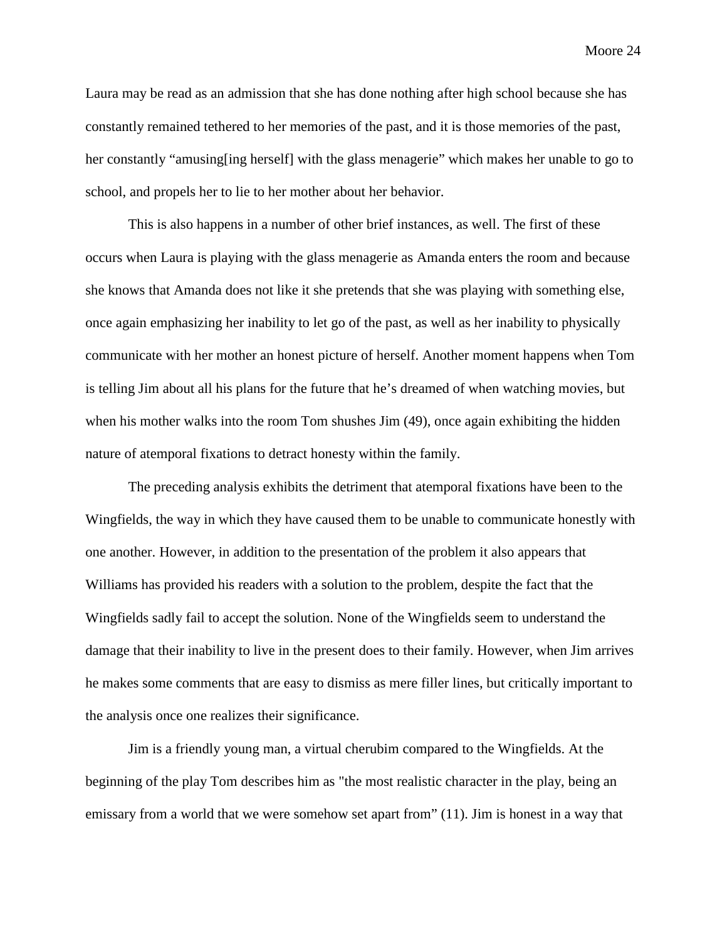Laura may be read as an admission that she has done nothing after high school because she has constantly remained tethered to her memories of the past, and it is those memories of the past, her constantly "amusing[ing herself] with the glass menagerie" which makes her unable to go to school, and propels her to lie to her mother about her behavior.

This is also happens in a number of other brief instances, as well. The first of these occurs when Laura is playing with the glass menagerie as Amanda enters the room and because she knows that Amanda does not like it she pretends that she was playing with something else, once again emphasizing her inability to let go of the past, as well as her inability to physically communicate with her mother an honest picture of herself. Another moment happens when Tom is telling Jim about all his plans for the future that he's dreamed of when watching movies, but when his mother walks into the room Tom shushes Jim (49), once again exhibiting the hidden nature of atemporal fixations to detract honesty within the family.

The preceding analysis exhibits the detriment that atemporal fixations have been to the Wingfields, the way in which they have caused them to be unable to communicate honestly with one another. However, in addition to the presentation of the problem it also appears that Williams has provided his readers with a solution to the problem, despite the fact that the Wingfields sadly fail to accept the solution. None of the Wingfields seem to understand the damage that their inability to live in the present does to their family. However, when Jim arrives he makes some comments that are easy to dismiss as mere filler lines, but critically important to the analysis once one realizes their significance.

Jim is a friendly young man, a virtual cherubim compared to the Wingfields. At the beginning of the play Tom describes him as "the most realistic character in the play, being an emissary from a world that we were somehow set apart from" (11). Jim is honest in a way that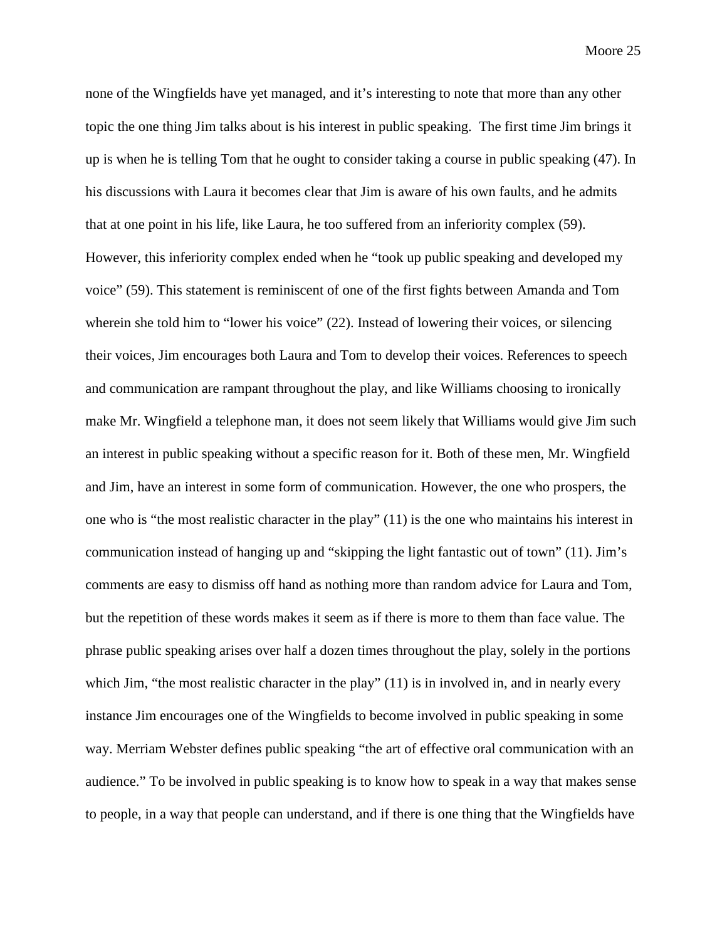none of the Wingfields have yet managed, and it's interesting to note that more than any other topic the one thing Jim talks about is his interest in public speaking. The first time Jim brings it up is when he is telling Tom that he ought to consider taking a course in public speaking (47). In his discussions with Laura it becomes clear that Jim is aware of his own faults, and he admits that at one point in his life, like Laura, he too suffered from an inferiority complex (59). However, this inferiority complex ended when he "took up public speaking and developed my voice" (59). This statement is reminiscent of one of the first fights between Amanda and Tom wherein she told him to "lower his voice" (22). Instead of lowering their voices, or silencing their voices, Jim encourages both Laura and Tom to develop their voices. References to speech and communication are rampant throughout the play, and like Williams choosing to ironically make Mr. Wingfield a telephone man, it does not seem likely that Williams would give Jim such an interest in public speaking without a specific reason for it. Both of these men, Mr. Wingfield and Jim, have an interest in some form of communication. However, the one who prospers, the one who is "the most realistic character in the play" (11) is the one who maintains his interest in communication instead of hanging up and "skipping the light fantastic out of town" (11). Jim's comments are easy to dismiss off hand as nothing more than random advice for Laura and Tom, but the repetition of these words makes it seem as if there is more to them than face value. The phrase public speaking arises over half a dozen times throughout the play, solely in the portions which Jim, "the most realistic character in the play" (11) is in involved in, and in nearly every instance Jim encourages one of the Wingfields to become involved in public speaking in some way. Merriam Webster defines public speaking "the art of effective oral communication with an audience." To be involved in public speaking is to know how to speak in a way that makes sense to people, in a way that people can understand, and if there is one thing that the Wingfields have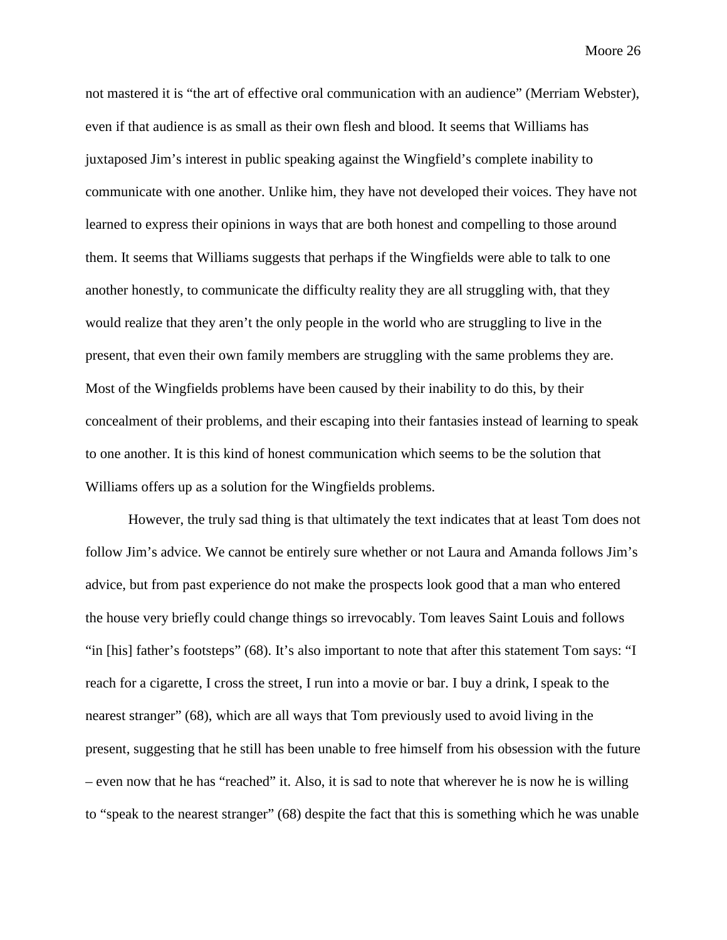not mastered it is "the art of effective oral communication with an audience" (Merriam Webster), even if that audience is as small as their own flesh and blood. It seems that Williams has juxtaposed Jim's interest in public speaking against the Wingfield's complete inability to communicate with one another. Unlike him, they have not developed their voices. They have not learned to express their opinions in ways that are both honest and compelling to those around them. It seems that Williams suggests that perhaps if the Wingfields were able to talk to one another honestly, to communicate the difficulty reality they are all struggling with, that they would realize that they aren't the only people in the world who are struggling to live in the present, that even their own family members are struggling with the same problems they are. Most of the Wingfields problems have been caused by their inability to do this, by their concealment of their problems, and their escaping into their fantasies instead of learning to speak to one another. It is this kind of honest communication which seems to be the solution that Williams offers up as a solution for the Wingfields problems.

However, the truly sad thing is that ultimately the text indicates that at least Tom does not follow Jim's advice. We cannot be entirely sure whether or not Laura and Amanda follows Jim's advice, but from past experience do not make the prospects look good that a man who entered the house very briefly could change things so irrevocably. Tom leaves Saint Louis and follows "in [his] father's footsteps" (68). It's also important to note that after this statement Tom says: "I reach for a cigarette, I cross the street, I run into a movie or bar. I buy a drink, I speak to the nearest stranger" (68), which are all ways that Tom previously used to avoid living in the present, suggesting that he still has been unable to free himself from his obsession with the future – even now that he has "reached" it. Also, it is sad to note that wherever he is now he is willing to "speak to the nearest stranger" (68) despite the fact that this is something which he was unable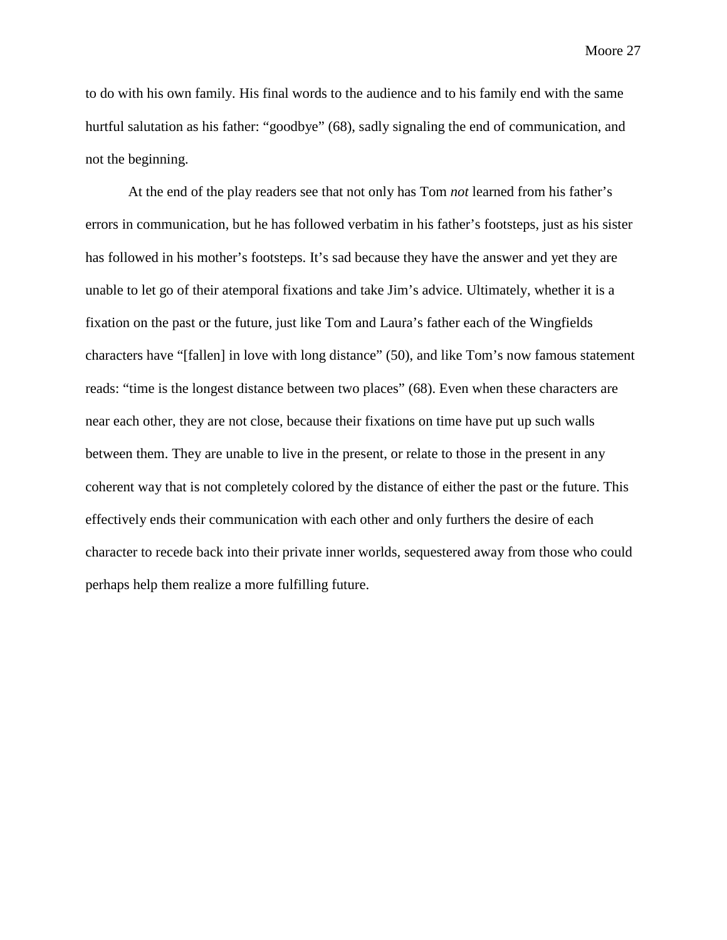to do with his own family. His final words to the audience and to his family end with the same hurtful salutation as his father: "goodbye" (68), sadly signaling the end of communication, and not the beginning.

At the end of the play readers see that not only has Tom *not* learned from his father's errors in communication, but he has followed verbatim in his father's footsteps, just as his sister has followed in his mother's footsteps. It's sad because they have the answer and yet they are unable to let go of their atemporal fixations and take Jim's advice. Ultimately, whether it is a fixation on the past or the future, just like Tom and Laura's father each of the Wingfields characters have "[fallen] in love with long distance" (50), and like Tom's now famous statement reads: "time is the longest distance between two places" (68). Even when these characters are near each other, they are not close, because their fixations on time have put up such walls between them. They are unable to live in the present, or relate to those in the present in any coherent way that is not completely colored by the distance of either the past or the future. This effectively ends their communication with each other and only furthers the desire of each character to recede back into their private inner worlds, sequestered away from those who could perhaps help them realize a more fulfilling future.